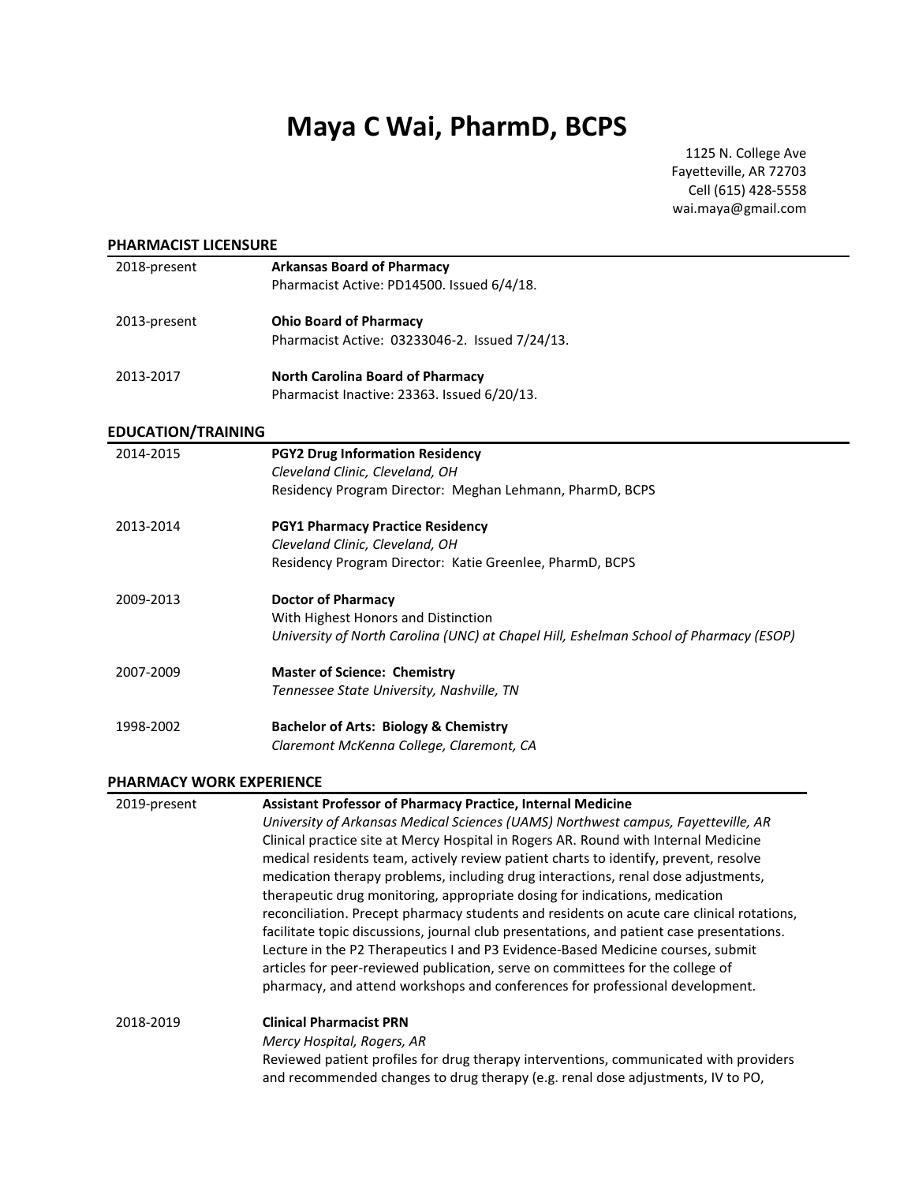# **Maya C Wai, PharmD, BCPS**

1125 N. College Ave Fayetteville, AR 72703 Cell (615) 428-5558 wai.maya@gmail.com

| 2018-present              | <b>Arkansas Board of Pharmacy</b>                                                     |
|---------------------------|---------------------------------------------------------------------------------------|
|                           | Pharmacist Active: PD14500. Issued 6/4/18.                                            |
| 2013-present              | <b>Ohio Board of Pharmacy</b>                                                         |
|                           | Pharmacist Active: 03233046-2. Issued 7/24/13.                                        |
| 2013-2017                 | <b>North Carolina Board of Pharmacy</b>                                               |
|                           | Pharmacist Inactive: 23363. Issued 6/20/13.                                           |
| <b>EDUCATION/TRAINING</b> |                                                                                       |
| 2014-2015                 | <b>PGY2 Drug Information Residency</b>                                                |
|                           | Cleveland Clinic, Cleveland, OH                                                       |
|                           | Residency Program Director: Meghan Lehmann, PharmD, BCPS                              |
| 2013-2014                 | <b>PGY1 Pharmacy Practice Residency</b>                                               |
|                           | Cleveland Clinic, Cleveland, OH                                                       |
|                           | Residency Program Director: Katie Greenlee, PharmD, BCPS                              |
| 2009-2013                 | <b>Doctor of Pharmacy</b>                                                             |
|                           | With Highest Honors and Distinction                                                   |
|                           | University of North Carolina (UNC) at Chapel Hill, Eshelman School of Pharmacy (ESOP) |
| 2007-2009                 | <b>Master of Science: Chemistry</b>                                                   |
|                           | Tennessee State University, Nashville, TN                                             |
| 1998-2002                 | <b>Bachelor of Arts: Biology &amp; Chemistry</b>                                      |
|                           |                                                                                       |

| 2019-present | <b>Assistant Professor of Pharmacy Practice, Internal Medicine</b>                                                                                                       |
|--------------|--------------------------------------------------------------------------------------------------------------------------------------------------------------------------|
|              | University of Arkansas Medical Sciences (UAMS) Northwest campus, Fayetteville, AR                                                                                        |
|              | Clinical practice site at Mercy Hospital in Rogers AR. Round with Internal Medicine                                                                                      |
|              | medical residents team, actively review patient charts to identify, prevent, resolve                                                                                     |
|              | medication therapy problems, including drug interactions, renal dose adjustments,                                                                                        |
|              | therapeutic drug monitoring, appropriate dosing for indications, medication                                                                                              |
|              | reconciliation. Precept pharmacy students and residents on acute care clinical rotations,                                                                                |
|              | facilitate topic discussions, journal club presentations, and patient case presentations.                                                                                |
|              | Lecture in the P2 Therapeutics I and P3 Evidence-Based Medicine courses, submit                                                                                          |
|              | articles for peer-reviewed publication, serve on committees for the college of                                                                                           |
|              | pharmacy, and attend workshops and conferences for professional development.                                                                                             |
| 2018-2019    | <b>Clinical Pharmacist PRN</b>                                                                                                                                           |
|              | Mercy Hospital, Rogers, AR                                                                                                                                               |
|              | Reviewed patient profiles for drug therapy interventions, communicated with providers<br>and recommended changes to drug therapy (e.g. renal dose adjustments, IV to PO, |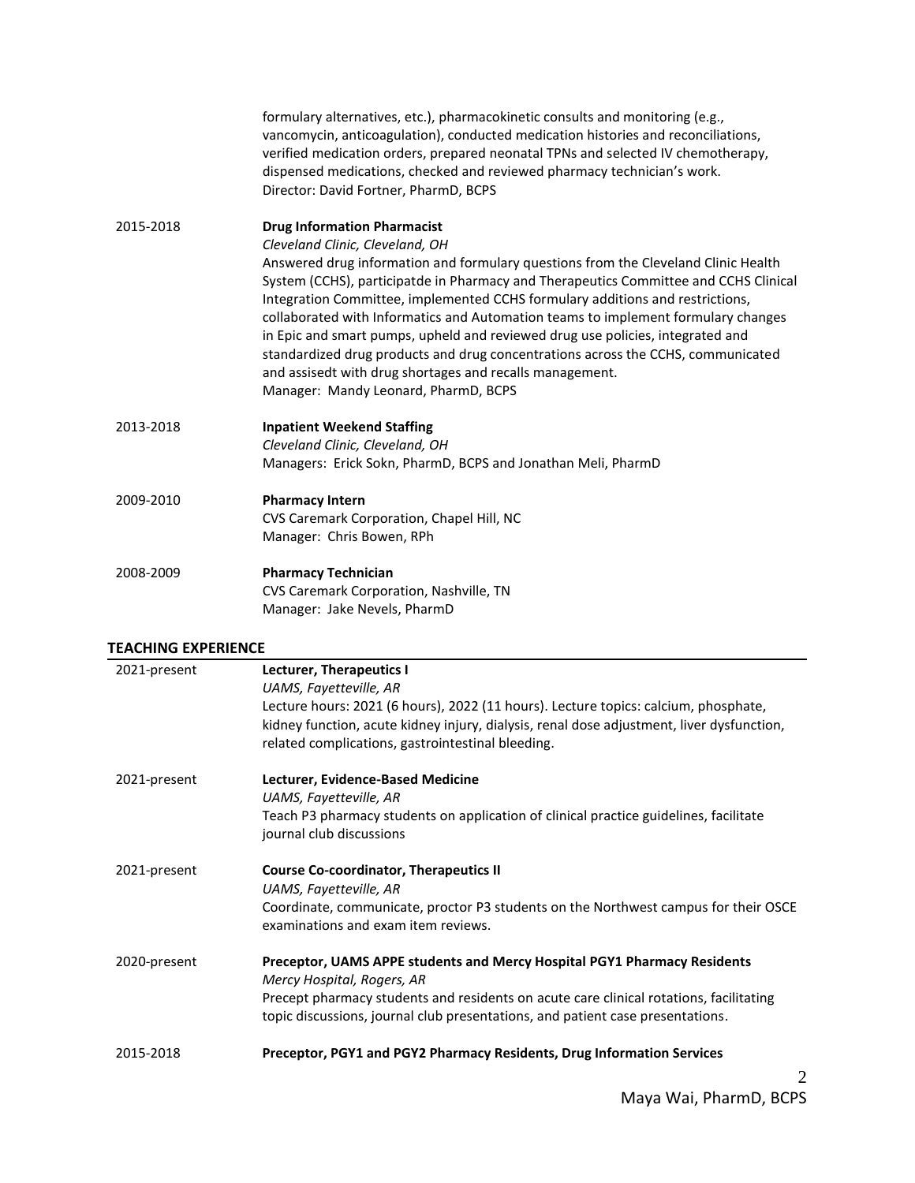|           | formulary alternatives, etc.), pharmacokinetic consults and monitoring (e.g.,<br>vancomycin, anticoagulation), conducted medication histories and reconciliations,<br>verified medication orders, prepared neonatal TPNs and selected IV chemotherapy,<br>dispensed medications, checked and reviewed pharmacy technician's work.<br>Director: David Fortner, PharmD, BCPS                                                                                                                                                                                                                                                 |
|-----------|----------------------------------------------------------------------------------------------------------------------------------------------------------------------------------------------------------------------------------------------------------------------------------------------------------------------------------------------------------------------------------------------------------------------------------------------------------------------------------------------------------------------------------------------------------------------------------------------------------------------------|
| 2015-2018 | <b>Drug Information Pharmacist</b>                                                                                                                                                                                                                                                                                                                                                                                                                                                                                                                                                                                         |
|           | Cleveland Clinic, Cleveland, OH                                                                                                                                                                                                                                                                                                                                                                                                                                                                                                                                                                                            |
|           | Answered drug information and formulary questions from the Cleveland Clinic Health<br>System (CCHS), participatde in Pharmacy and Therapeutics Committee and CCHS Clinical<br>Integration Committee, implemented CCHS formulary additions and restrictions,<br>collaborated with Informatics and Automation teams to implement formulary changes<br>in Epic and smart pumps, upheld and reviewed drug use policies, integrated and<br>standardized drug products and drug concentrations across the CCHS, communicated<br>and assisedt with drug shortages and recalls management.<br>Manager: Mandy Leonard, PharmD, BCPS |
| 2013-2018 | <b>Inpatient Weekend Staffing</b>                                                                                                                                                                                                                                                                                                                                                                                                                                                                                                                                                                                          |
|           | Cleveland Clinic, Cleveland, OH                                                                                                                                                                                                                                                                                                                                                                                                                                                                                                                                                                                            |
|           | Managers: Erick Sokn, PharmD, BCPS and Jonathan Meli, PharmD                                                                                                                                                                                                                                                                                                                                                                                                                                                                                                                                                               |
| 2009-2010 | <b>Pharmacy Intern</b>                                                                                                                                                                                                                                                                                                                                                                                                                                                                                                                                                                                                     |
|           | CVS Caremark Corporation, Chapel Hill, NC                                                                                                                                                                                                                                                                                                                                                                                                                                                                                                                                                                                  |
|           | Manager: Chris Bowen, RPh                                                                                                                                                                                                                                                                                                                                                                                                                                                                                                                                                                                                  |
| 2008-2009 | <b>Pharmacy Technician</b>                                                                                                                                                                                                                                                                                                                                                                                                                                                                                                                                                                                                 |
|           | CVS Caremark Corporation, Nashville, TN                                                                                                                                                                                                                                                                                                                                                                                                                                                                                                                                                                                    |
|           | Manager: Jake Nevels, PharmD                                                                                                                                                                                                                                                                                                                                                                                                                                                                                                                                                                                               |
|           |                                                                                                                                                                                                                                                                                                                                                                                                                                                                                                                                                                                                                            |

### **TEACHING EXPERIENCE**

| 2021-present | <b>Lecturer, Therapeutics I</b>                                                                                                                                          |
|--------------|--------------------------------------------------------------------------------------------------------------------------------------------------------------------------|
|              | UAMS, Fayetteville, AR                                                                                                                                                   |
|              | Lecture hours: 2021 (6 hours), 2022 (11 hours). Lecture topics: calcium, phosphate,                                                                                      |
|              | kidney function, acute kidney injury, dialysis, renal dose adjustment, liver dysfunction,                                                                                |
|              | related complications, gastrointestinal bleeding.                                                                                                                        |
| 2021-present | Lecturer, Evidence-Based Medicine                                                                                                                                        |
|              | UAMS, Fayetteville, AR                                                                                                                                                   |
|              | Teach P3 pharmacy students on application of clinical practice guidelines, facilitate                                                                                    |
|              | journal club discussions                                                                                                                                                 |
| 2021-present | <b>Course Co-coordinator, Therapeutics II</b>                                                                                                                            |
|              | UAMS, Fayetteville, AR                                                                                                                                                   |
|              | Coordinate, communicate, proctor P3 students on the Northwest campus for their OSCE<br>examinations and exam item reviews.                                               |
| 2020-present | Preceptor, UAMS APPE students and Mercy Hospital PGY1 Pharmacy Residents                                                                                                 |
|              | Mercy Hospital, Rogers, AR                                                                                                                                               |
|              | Precept pharmacy students and residents on acute care clinical rotations, facilitating<br>topic discussions, journal club presentations, and patient case presentations. |
| 2015-2018    | Preceptor, PGY1 and PGY2 Pharmacy Residents, Drug Information Services                                                                                                   |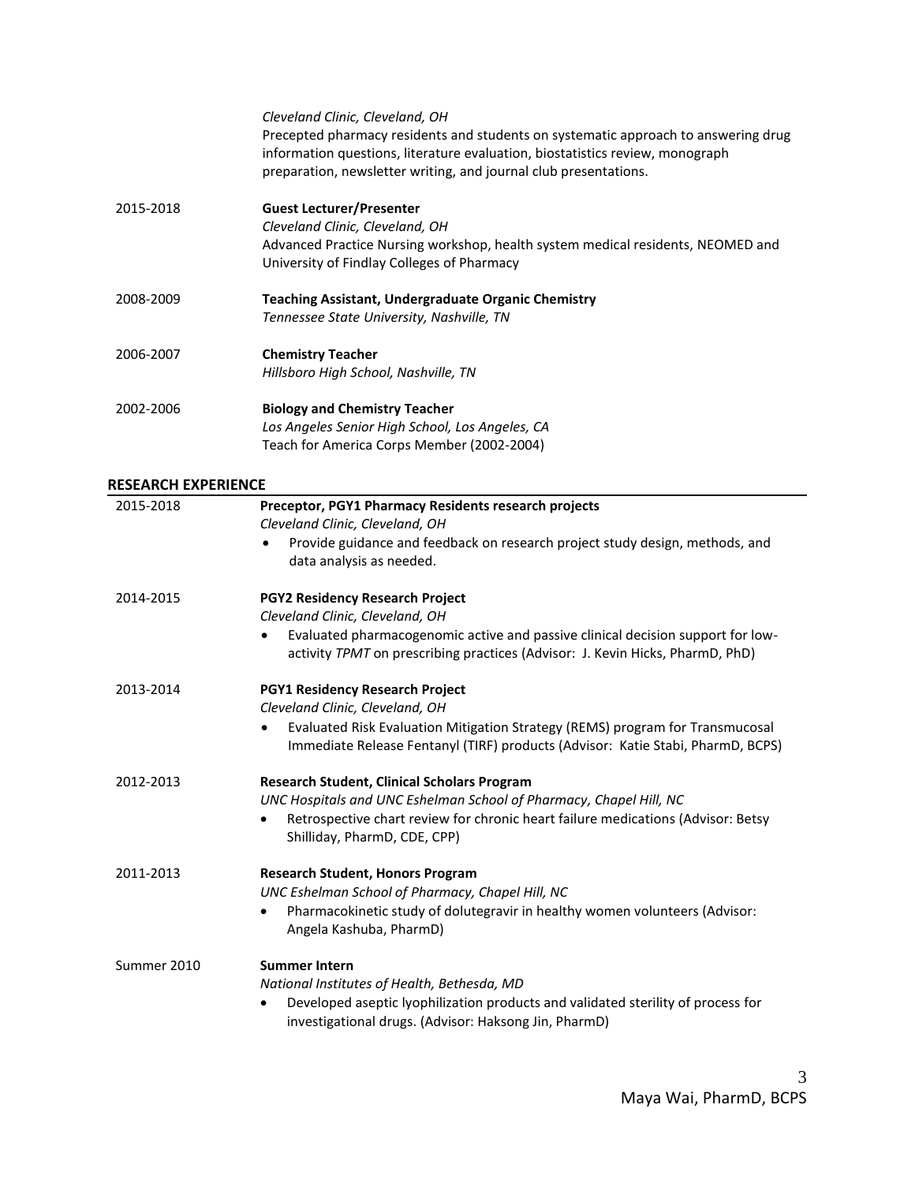|           | Cleveland Clinic, Cleveland, OH<br>Precepted pharmacy residents and students on systematic approach to answering drug<br>information questions, literature evaluation, biostatistics review, monograph<br>preparation, newsletter writing, and journal club presentations. |
|-----------|----------------------------------------------------------------------------------------------------------------------------------------------------------------------------------------------------------------------------------------------------------------------------|
| 2015-2018 | <b>Guest Lecturer/Presenter</b><br>Cleveland Clinic, Cleveland, OH<br>Advanced Practice Nursing workshop, health system medical residents, NEOMED and<br>University of Findlay Colleges of Pharmacy                                                                        |
| 2008-2009 | <b>Teaching Assistant, Undergraduate Organic Chemistry</b><br>Tennessee State University, Nashville, TN                                                                                                                                                                    |
| 2006-2007 | <b>Chemistry Teacher</b><br>Hillsboro High School, Nashville, TN                                                                                                                                                                                                           |
| 2002-2006 | <b>Biology and Chemistry Teacher</b><br>Los Angeles Senior High School, Los Angeles, CA<br>Teach for America Corps Member (2002-2004)                                                                                                                                      |

# **RESEARCH EXPERIENCE**

| 2015-2018   | Preceptor, PGY1 Pharmacy Residents research projects<br>Cleveland Clinic, Cleveland, OH                                                                          |
|-------------|------------------------------------------------------------------------------------------------------------------------------------------------------------------|
|             | Provide guidance and feedback on research project study design, methods, and<br>data analysis as needed.                                                         |
| 2014-2015   | PGY2 Residency Research Project<br>Cleveland Clinic, Cleveland, OH                                                                                               |
|             | Evaluated pharmacogenomic active and passive clinical decision support for low-<br>activity TPMT on prescribing practices (Advisor: J. Kevin Hicks, PharmD, PhD) |
| 2013-2014   | <b>PGY1 Residency Research Project</b><br>Cleveland Clinic, Cleveland, OH                                                                                        |
|             | Evaluated Risk Evaluation Mitigation Strategy (REMS) program for Transmucosal<br>Immediate Release Fentanyl (TIRF) products (Advisor: Katie Stabi, PharmD, BCPS) |
| 2012-2013   | <b>Research Student, Clinical Scholars Program</b><br>UNC Hospitals and UNC Eshelman School of Pharmacy, Chapel Hill, NC                                         |
|             | Retrospective chart review for chronic heart failure medications (Advisor: Betsy<br>$\bullet$<br>Shilliday, PharmD, CDE, CPP)                                    |
| 2011-2013   | <b>Research Student, Honors Program</b><br>UNC Eshelman School of Pharmacy, Chapel Hill, NC                                                                      |
|             | Pharmacokinetic study of dolutegravir in healthy women volunteers (Advisor:<br>Angela Kashuba, PharmD)                                                           |
| Summer 2010 | <b>Summer Intern</b><br>National Institutes of Health, Bethesda, MD                                                                                              |
|             | Developed aseptic lyophilization products and validated sterility of process for<br>investigational drugs. (Advisor: Haksong Jin, PharmD)                        |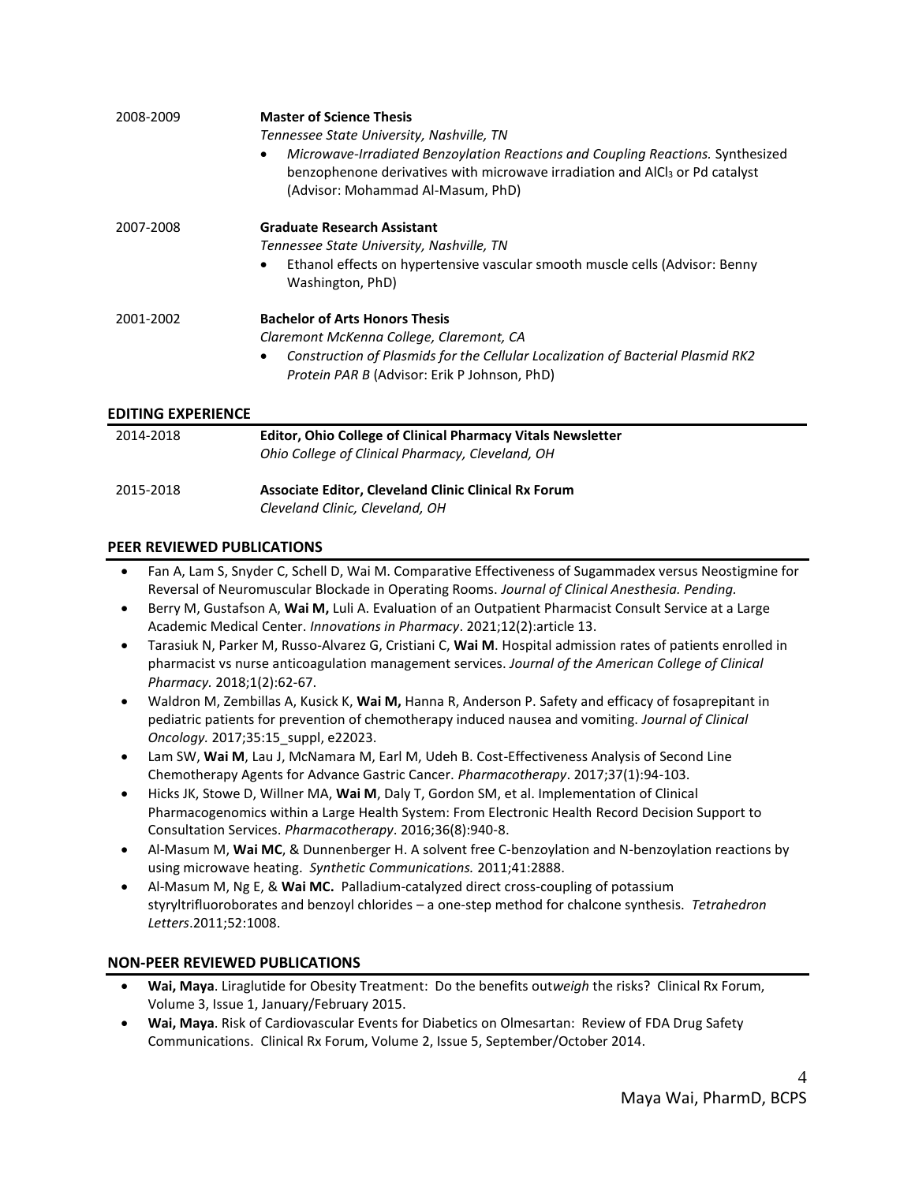| 2008-2009                 | <b>Master of Science Thesis</b><br>Tennessee State University, Nashville, TN<br>Microwave-Irradiated Benzoylation Reactions and Coupling Reactions. Synthesized<br>benzophenone derivatives with microwave irradiation and AICI <sub>3</sub> or Pd catalyst<br>(Advisor: Mohammad Al-Masum, PhD) |
|---------------------------|--------------------------------------------------------------------------------------------------------------------------------------------------------------------------------------------------------------------------------------------------------------------------------------------------|
| 2007-2008                 | <b>Graduate Research Assistant</b><br>Tennessee State University, Nashville, TN<br>Ethanol effects on hypertensive vascular smooth muscle cells (Advisor: Benny<br>Washington, PhD)                                                                                                              |
| 2001-2002                 | <b>Bachelor of Arts Honors Thesis</b><br>Claremont McKenna College, Claremont, CA<br>Construction of Plasmids for the Cellular Localization of Bacterial Plasmid RK2<br><i>Protein PAR B (Advisor: Erik P Johnson, PhD)</i>                                                                      |
| <b>EDITING EXPERIENCE</b> |                                                                                                                                                                                                                                                                                                  |
| 2014-2018                 | Editor, Ohio College of Clinical Pharmacy Vitals Newsletter<br>Ohio College of Clinical Pharmacy, Cleveland, OH                                                                                                                                                                                  |

| 2015-2018 | <b>Associate Editor, Cleveland Clinic Clinical Rx Forum</b> |
|-----------|-------------------------------------------------------------|
|           | Cleveland Clinic, Cleveland, OH                             |

# **PEER REVIEWED PUBLICATIONS**

- Fan A, Lam S, Snyder C, Schell D, Wai M. Comparative Effectiveness of Sugammadex versus Neostigmine for Reversal of Neuromuscular Blockade in Operating Rooms. *Journal of Clinical Anesthesia. Pending.*
- Berry M, Gustafson A, **Wai M,** Luli A. Evaluation of an Outpatient Pharmacist Consult Service at a Large Academic Medical Center. *Innovations in Pharmacy*. 2021;12(2):article 13.
- Tarasiuk N, Parker M, Russo-Alvarez G, Cristiani C, **Wai M**. Hospital admission rates of patients enrolled in pharmacist vs nurse anticoagulation management services. *Journal of the American College of Clinical Pharmacy.* 2018;1(2):62-67.
- Waldron M, Zembillas A, Kusick K, **Wai M,** Hanna R, Anderson P. Safety and efficacy of fosaprepitant in pediatric patients for prevention of chemotherapy induced nausea and vomiting. *Journal of Clinical Oncology.* 2017;35:15\_suppl, e22023.
- Lam SW, **Wai M**, Lau J, McNamara M, Earl M, Udeh B. Cost-Effectiveness Analysis of Second Line Chemotherapy Agents for Advance Gastric Cancer. *Pharmacotherapy*. 2017;37(1):94-103.
- Hicks JK, Stowe D, Willner MA, **Wai M**, Daly T, Gordon SM, et al. Implementation of Clinical Pharmacogenomics within a Large Health System: From Electronic Health Record Decision Support to Consultation Services. *Pharmacotherapy*. 2016;36(8):940-8.
- Al-Masum M, **Wai MC**, & Dunnenberger H. A solvent free C-benzoylation and N-benzoylation reactions by using microwave heating. *Synthetic Communications.* 2011;41:2888.
- Al-Masum M, Ng E, & **Wai MC.** Palladium-catalyzed direct cross-coupling of potassium styryltrifluoroborates and benzoyl chlorides – a one-step method for chalcone synthesis. *Tetrahedron Letters*.2011;52:1008.

## **NON-PEER REVIEWED PUBLICATIONS**

- **Wai, Maya**. Liraglutide for Obesity Treatment: Do the benefits out*weigh* the risks? Clinical Rx Forum, Volume 3, Issue 1, January/February 2015.
- **Wai, Maya**. Risk of Cardiovascular Events for Diabetics on Olmesartan: Review of FDA Drug Safety Communications. Clinical Rx Forum, Volume 2, Issue 5, September/October 2014.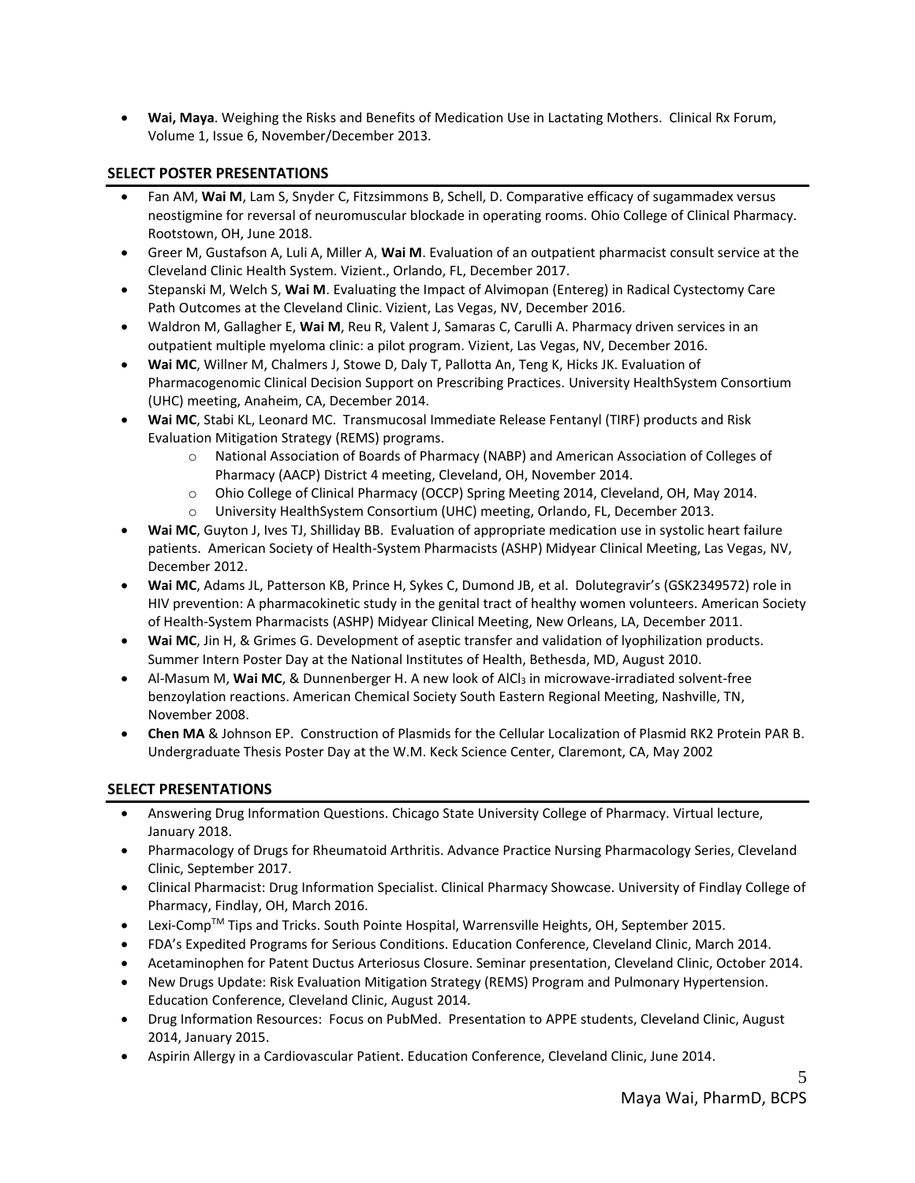• **Wai, Maya**. Weighing the Risks and Benefits of Medication Use in Lactating Mothers. Clinical Rx Forum, Volume 1, Issue 6, November/December 2013.

# **SELECT POSTER PRESENTATIONS**

- Fan AM, **Wai M**, Lam S, Snyder C, Fitzsimmons B, Schell, D. Comparative efficacy of sugammadex versus neostigmine for reversal of neuromuscular blockade in operating rooms. Ohio College of Clinical Pharmacy. Rootstown, OH, June 2018.
- Greer M, Gustafson A, Luli A, Miller A, **Wai M**. Evaluation of an outpatient pharmacist consult service at the Cleveland Clinic Health System. Vizient., Orlando, FL, December 2017.
- Stepanski M, Welch S, **Wai M**. Evaluating the Impact of Alvimopan (Entereg) in Radical Cystectomy Care Path Outcomes at the Cleveland Clinic. Vizient, Las Vegas, NV, December 2016.
- Waldron M, Gallagher E, **Wai M**, Reu R, Valent J, Samaras C, Carulli A. Pharmacy driven services in an outpatient multiple myeloma clinic: a pilot program. Vizient, Las Vegas, NV, December 2016.
- **Wai MC**, Willner M, Chalmers J, Stowe D, Daly T, Pallotta An, Teng K, Hicks JK. Evaluation of Pharmacogenomic Clinical Decision Support on Prescribing Practices. University HealthSystem Consortium (UHC) meeting, Anaheim, CA, December 2014.
- **Wai MC**, Stabi KL, Leonard MC. Transmucosal Immediate Release Fentanyl (TIRF) products and Risk Evaluation Mitigation Strategy (REMS) programs.
	- o National Association of Boards of Pharmacy (NABP) and American Association of Colleges of Pharmacy (AACP) District 4 meeting, Cleveland, OH, November 2014.
	- o Ohio College of Clinical Pharmacy (OCCP) Spring Meeting 2014, Cleveland, OH, May 2014.
	- o University HealthSystem Consortium (UHC) meeting, Orlando, FL, December 2013.
- **Wai MC**, Guyton J, Ives TJ, Shilliday BB. Evaluation of appropriate medication use in systolic heart failure patients. American Society of Health-System Pharmacists (ASHP) Midyear Clinical Meeting, Las Vegas, NV, December 2012.
- **Wai MC**, Adams JL, Patterson KB, Prince H, Sykes C, Dumond JB, et al. Dolutegravir's (GSK2349572) role in HIV prevention: A pharmacokinetic study in the genital tract of healthy women volunteers. American Society of Health-System Pharmacists (ASHP) Midyear Clinical Meeting, New Orleans, LA, December 2011.
- **Wai MC**, Jin H, & Grimes G. Development of aseptic transfer and validation of lyophilization products. Summer Intern Poster Day at the National Institutes of Health, Bethesda, MD, August 2010.
- Al-Masum M, **Wai MC**, & Dunnenberger H. A new look of AlCl<sup>3</sup> in microwave-irradiated solvent-free benzoylation reactions. American Chemical Society South Eastern Regional Meeting, Nashville, TN, November 2008.
- **Chen MA** & Johnson EP. Construction of Plasmids for the Cellular Localization of Plasmid RK2 Protein PAR B. Undergraduate Thesis Poster Day at the W.M. Keck Science Center, Claremont, CA, May 2002

# **SELECT PRESENTATIONS**

- Answering Drug Information Questions. Chicago State University College of Pharmacy. Virtual lecture, January 2018.
- Pharmacology of Drugs for Rheumatoid Arthritis. Advance Practice Nursing Pharmacology Series, Cleveland Clinic, September 2017.
- Clinical Pharmacist: Drug Information Specialist. Clinical Pharmacy Showcase. University of Findlay College of Pharmacy, Findlay, OH, March 2016.
- Lexi-Comp<sup>TM</sup> Tips and Tricks. South Pointe Hospital, Warrensville Heights, OH, September 2015.
- FDA's Expedited Programs for Serious Conditions. Education Conference, Cleveland Clinic, March 2014.
- Acetaminophen for Patent Ductus Arteriosus Closure. Seminar presentation, Cleveland Clinic, October 2014.
- New Drugs Update: Risk Evaluation Mitigation Strategy (REMS) Program and Pulmonary Hypertension. Education Conference, Cleveland Clinic, August 2014.
- Drug Information Resources: Focus on PubMed. Presentation to APPE students, Cleveland Clinic, August 2014, January 2015.
- Aspirin Allergy in a Cardiovascular Patient. Education Conference, Cleveland Clinic, June 2014.

5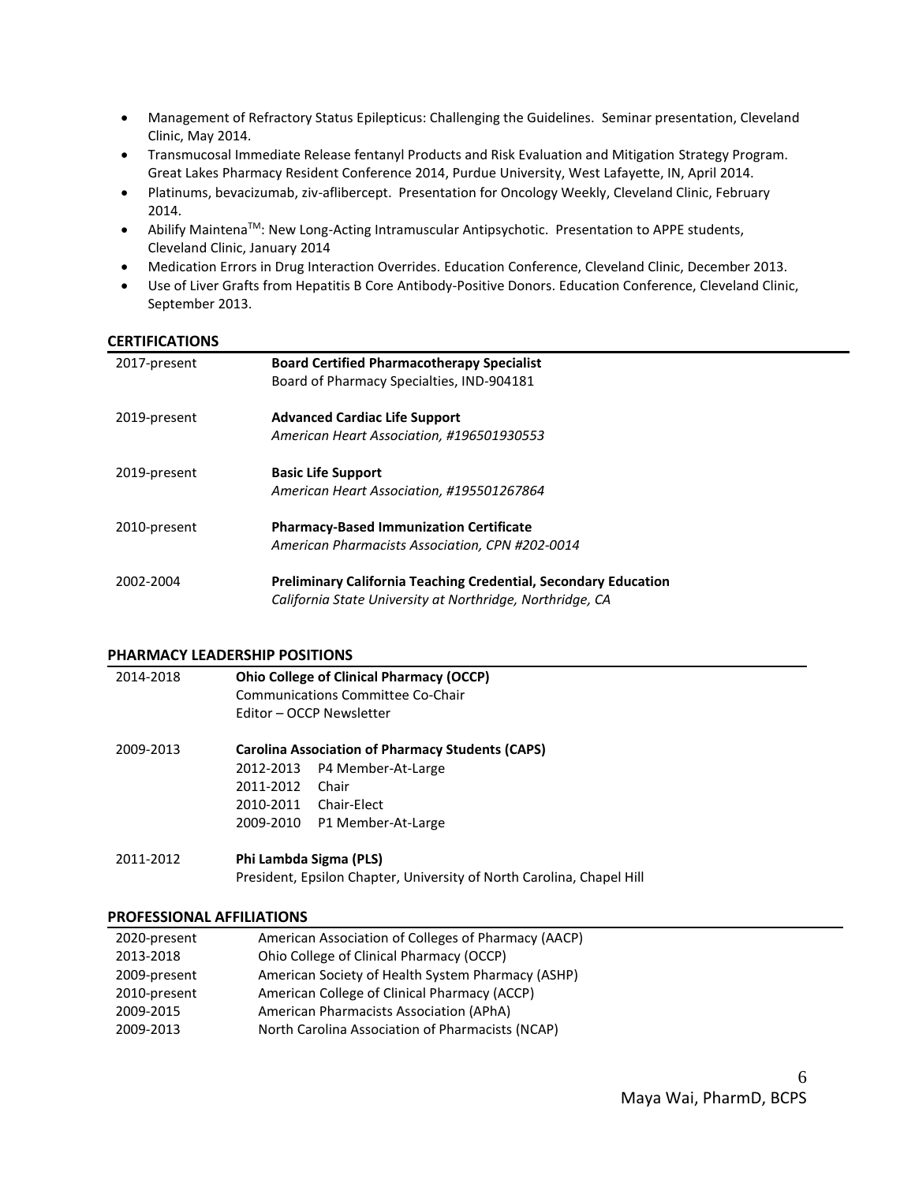- Management of Refractory Status Epilepticus: Challenging the Guidelines. Seminar presentation, Cleveland Clinic, May 2014.
- Transmucosal Immediate Release fentanyl Products and Risk Evaluation and Mitigation Strategy Program. Great Lakes Pharmacy Resident Conference 2014, Purdue University, West Lafayette, IN, April 2014.
- Platinums, bevacizumab, ziv-aflibercept. Presentation for Oncology Weekly, Cleveland Clinic, February 2014.
- Abilify Maintena<sup>TM</sup>: New Long-Acting Intramuscular Antipsychotic. Presentation to APPE students, Cleveland Clinic, January 2014
- Medication Errors in Drug Interaction Overrides. Education Conference, Cleveland Clinic, December 2013.
- Use of Liver Grafts from Hepatitis B Core Antibody-Positive Donors. Education Conference, Cleveland Clinic, September 2013.

#### **CERTIFICATIONS**

| 2017-present | <b>Board Certified Pharmacotherapy Specialist</b><br>Board of Pharmacy Specialties, IND-904181                                      |
|--------------|-------------------------------------------------------------------------------------------------------------------------------------|
| 2019-present | <b>Advanced Cardiac Life Support</b><br>American Heart Association, #196501930553                                                   |
| 2019-present | <b>Basic Life Support</b><br>American Heart Association, #195501267864                                                              |
| 2010-present | <b>Pharmacy-Based Immunization Certificate</b><br>American Pharmacists Association, CPN #202-0014                                   |
| 2002-2004    | <b>Preliminary California Teaching Credential, Secondary Education</b><br>California State University at Northridge, Northridge, CA |

#### **PHARMACY LEADERSHIP POSITIONS**

| 2014-2018 | <b>Ohio College of Clinical Pharmacy (OCCP)</b><br>Communications Committee Co-Chair<br>Editor – OCCP Newsletter                                                                |
|-----------|---------------------------------------------------------------------------------------------------------------------------------------------------------------------------------|
| 2009-2013 | <b>Carolina Association of Pharmacy Students (CAPS)</b><br>P4 Member-At-Large<br>2012-2013<br>2011-2012<br>Chair<br>2010-2011<br>Chair-Elect<br>2009-2010<br>P1 Member-At-Large |
| 2011-2012 | Phi Lambda Sigma (PLS)<br>President, Epsilon Chapter, University of North Carolina, Chapel Hill                                                                                 |

#### **PROFESSIONAL AFFILIATIONS**

| 2020-present | American Association of Colleges of Pharmacy (AACP) |
|--------------|-----------------------------------------------------|
| 2013-2018    | Ohio College of Clinical Pharmacy (OCCP)            |
| 2009-present | American Society of Health System Pharmacy (ASHP)   |
| 2010-present | American College of Clinical Pharmacy (ACCP)        |
| 2009-2015    | American Pharmacists Association (APhA)             |
| 2009-2013    | North Carolina Association of Pharmacists (NCAP)    |